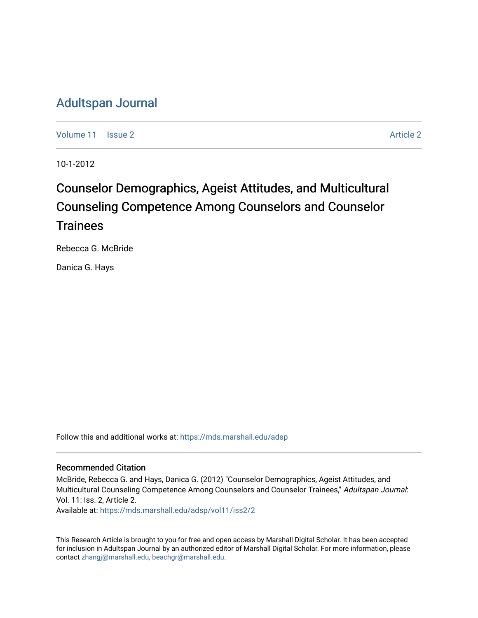# [Adultspan Journal](https://mds.marshall.edu/adsp)

[Volume 11](https://mds.marshall.edu/adsp/vol11) | [Issue 2](https://mds.marshall.edu/adsp/vol11/iss2) [Article 2](https://mds.marshall.edu/adsp/vol11/iss2/2) Article 2 Article 2 Article 2 Article 2 Article 2 Article 2 Article 2 Article 2

10-1-2012

# Counselor Demographics, Ageist Attitudes, and Multicultural Counseling Competence Among Counselors and Counselor **Trainees**

Rebecca G. McBride

Danica G. Hays

Follow this and additional works at: [https://mds.marshall.edu/adsp](https://mds.marshall.edu/adsp?utm_source=mds.marshall.edu%2Fadsp%2Fvol11%2Fiss2%2F2&utm_medium=PDF&utm_campaign=PDFCoverPages) 

# Recommended Citation

McBride, Rebecca G. and Hays, Danica G. (2012) "Counselor Demographics, Ageist Attitudes, and Multicultural Counseling Competence Among Counselors and Counselor Trainees," Adultspan Journal: Vol. 11: Iss. 2, Article 2.

Available at: [https://mds.marshall.edu/adsp/vol11/iss2/2](https://mds.marshall.edu/adsp/vol11/iss2/2?utm_source=mds.marshall.edu%2Fadsp%2Fvol11%2Fiss2%2F2&utm_medium=PDF&utm_campaign=PDFCoverPages) 

This Research Article is brought to you for free and open access by Marshall Digital Scholar. It has been accepted for inclusion in Adultspan Journal by an authorized editor of Marshall Digital Scholar. For more information, please contact [zhangj@marshall.edu, beachgr@marshall.edu](mailto:zhangj@marshall.edu,%20beachgr@marshall.edu).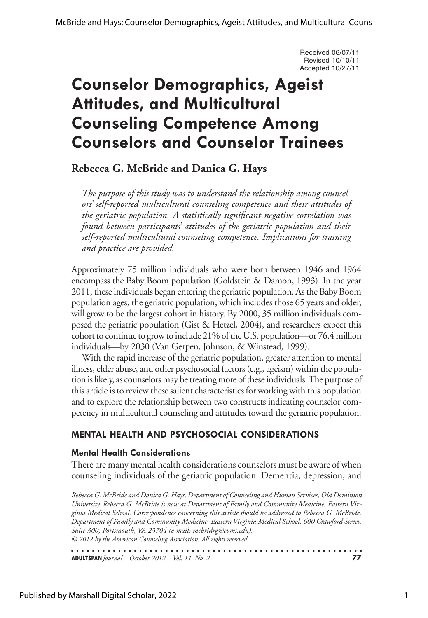Received 06/07/11 Revised 10/10/11 Accepted 10/27/11

# **Counselor Demographics, Ageist Attitudes, and Multicultural Counseling Competence Among Counselors and Counselor Trainees**

**Rebecca G. McBride and Danica G. Hays**

*The purpose of this study was to understand the relationship among counselors' self-reported multicultural counseling competence and their attitudes of the geriatric population. A statistically significant negative correlation was found between participants' attitudes of the geriatric population and their self-reported multicultural counseling competence. Implications for training and practice are provided.*

Approximately 75 million individuals who were born between 1946 and 1964 encompass the Baby Boom population (Goldstein & Damon, 1993). In the year 2011, these individuals began entering the geriatric population. As the Baby Boom population ages, the geriatric population, which includes those 65 years and older, will grow to be the largest cohort in history. By 2000, 35 million individuals composed the geriatric population (Gist & Hetzel, 2004), and researchers expect this cohort to continue to grow to include 21% of the U.S. population—or 76.4 million individuals—by 2030 (Van Gerpen, Johnson, & Winstead, 1999).

With the rapid increase of the geriatric population, greater attention to mental illness, elder abuse, and other psychosocial factors (e.g., ageism) within the population is likely, as counselors may be treating more of these individuals. The purpose of this article is to review these salient characteristics for working with this population and to explore the relationship between two constructs indicating counselor competency in multicultural counseling and attitudes toward the geriatric population.

# **Mental Health and Psychosocial Considerations**

# **Mental Health Considerations**

There are many mental health considerations counselors must be aware of when counseling individuals of the geriatric population. Dementia, depression, and

*© 2012 by the American Counseling Association. All rights reserved. Rebecca G. McBride and Danica G. Hays, Department of Counseling and Human Services, Old Dominion University. Rebecca G. McBride is now at Department of Family and Community Medicine, Eastern Virginia Medical School. Correspondence concerning this article should be addressed to Rebecca G. McBride, Department of Family and Community Medicine, Eastern Virginia Medical School, 600 Crawford Street, Suite 300, Portsmouth, VA 23704 (e-mail: mcbridrg@evms.edu).*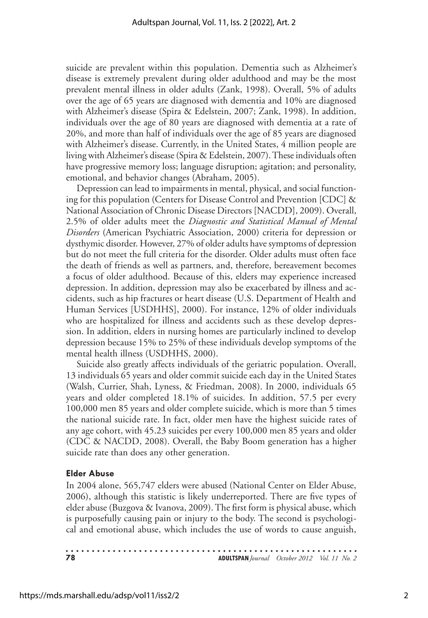suicide are prevalent within this population. Dementia such as Alzheimer's disease is extremely prevalent during older adulthood and may be the most prevalent mental illness in older adults (Zank, 1998). Overall, 5% of adults over the age of 65 years are diagnosed with dementia and 10% are diagnosed with Alzheimer's disease (Spira & Edelstein, 2007; Zank, 1998). In addition, individuals over the age of 80 years are diagnosed with dementia at a rate of 20%, and more than half of individuals over the age of 85 years are diagnosed with Alzheimer's disease. Currently, in the United States, 4 million people are living with Alzheimer's disease (Spira & Edelstein, 2007). These individuals often have progressive memory loss; language disruption; agitation; and personality, emotional, and behavior changes (Abraham, 2005).

Depression can lead to impairments in mental, physical, and social functioning for this population (Centers for Disease Control and Prevention [CDC] & National Association of Chronic Disease Directors [NACDD], 2009). Overall, 2.5% of older adults meet the *Diagnostic and Statistical Manual of Mental Disorders* (American Psychiatric Association, 2000) criteria for depression or dysthymic disorder. However, 27% of older adults have symptoms of depression but do not meet the full criteria for the disorder. Older adults must often face the death of friends as well as partners, and, therefore, bereavement becomes a focus of older adulthood. Because of this, elders may experience increased depression. In addition, depression may also be exacerbated by illness and accidents, such as hip fractures or heart disease (U.S. Department of Health and Human Services [USDHHS], 2000). For instance, 12% of older individuals who are hospitalized for illness and accidents such as these develop depression. In addition, elders in nursing homes are particularly inclined to develop depression because 15% to 25% of these individuals develop symptoms of the mental health illness (USDHHS, 2000).

Suicide also greatly affects individuals of the geriatric population. Overall, 13 individuals 65 years and older commit suicide each day in the United States (Walsh, Currier, Shah, Lyness, & Friedman, 2008). In 2000, individuals 65 years and older completed 18.1% of suicides. In addition, 57.5 per every 100,000 men 85 years and older complete suicide, which is more than 5 times the national suicide rate. In fact, older men have the highest suicide rates of any age cohort, with 45.23 suicides per every 100,000 men 85 years and older (CDC & NACDD, 2008). Overall, the Baby Boom generation has a higher suicide rate than does any other generation.

#### **Elder Abuse**

In 2004 alone, 565,747 elders were abused (National Center on Elder Abuse, 2006), although this statistic is likely underreported. There are five types of elder abuse (Buzgova & Ivanova, 2009). The first form is physical abuse, which is purposefully causing pain or injury to the body. The second is psychological and emotional abuse, which includes the use of words to cause anguish,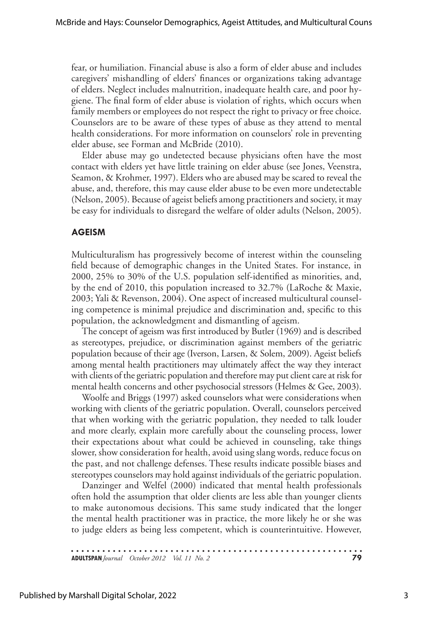fear, or humiliation. Financial abuse is also a form of elder abuse and includes caregivers' mishandling of elders' finances or organizations taking advantage of elders. Neglect includes malnutrition, inadequate health care, and poor hygiene. The final form of elder abuse is violation of rights, which occurs when family members or employees do not respect the right to privacy or free choice. Counselors are to be aware of these types of abuse as they attend to mental health considerations. For more information on counselors' role in preventing elder abuse, see Forman and McBride (2010).

Elder abuse may go undetected because physicians often have the most contact with elders yet have little training on elder abuse (see Jones, Veenstra, Seamon, & Krohmer, 1997). Elders who are abused may be scared to reveal the abuse, and, therefore, this may cause elder abuse to be even more undetectable (Nelson, 2005). Because of ageist beliefs among practitioners and society, it may be easy for individuals to disregard the welfare of older adults (Nelson, 2005).

### **Ageism**

Multiculturalism has progressively become of interest within the counseling field because of demographic changes in the United States. For instance, in 2000, 25% to 30% of the U.S. population self-identified as minorities, and, by the end of 2010, this population increased to 32.7% (LaRoche & Maxie, 2003; Yali & Revenson, 2004). One aspect of increased multicultural counseling competence is minimal prejudice and discrimination and, specific to this population, the acknowledgment and dismantling of ageism.

The concept of ageism was first introduced by Butler (1969) and is described as stereotypes, prejudice, or discrimination against members of the geriatric population because of their age (Iverson, Larsen, & Solem, 2009). Ageist beliefs among mental health practitioners may ultimately affect the way they interact with clients of the geriatric population and therefore may put client care at risk for mental health concerns and other psychosocial stressors (Helmes & Gee, 2003).

Woolfe and Briggs (1997) asked counselors what were considerations when working with clients of the geriatric population. Overall, counselors perceived that when working with the geriatric population, they needed to talk louder and more clearly, explain more carefully about the counseling process, lower their expectations about what could be achieved in counseling, take things slower, show consideration for health, avoid using slang words, reduce focus on the past, and not challenge defenses. These results indicate possible biases and stereotypes counselors may hold against individuals of the geriatric population.

Danzinger and Welfel (2000) indicated that mental health professionals often hold the assumption that older clients are less able than younger clients to make autonomous decisions. This same study indicated that the longer the mental health practitioner was in practice, the more likely he or she was to judge elders as being less competent, which is counterintuitive. However,

| <b>ADULTSPAN</b> Journal October 2012 Vol. 11 No. 2 |  |  |
|-----------------------------------------------------|--|--|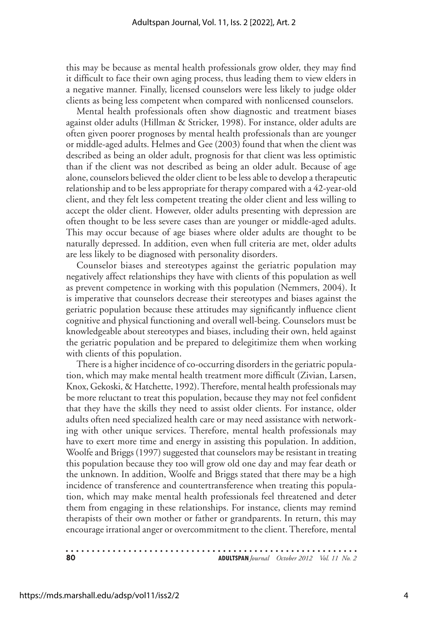this may be because as mental health professionals grow older, they may find it difficult to face their own aging process, thus leading them to view elders in a negative manner. Finally, licensed counselors were less likely to judge older clients as being less competent when compared with nonlicensed counselors.

Mental health professionals often show diagnostic and treatment biases against older adults (Hillman & Stricker, 1998). For instance, older adults are often given poorer prognoses by mental health professionals than are younger or middle-aged adults. Helmes and Gee (2003) found that when the client was described as being an older adult, prognosis for that client was less optimistic than if the client was not described as being an older adult. Because of age alone, counselors believed the older client to be less able to develop a therapeutic relationship and to be less appropriate for therapy compared with a 42-year-old client, and they felt less competent treating the older client and less willing to accept the older client. However, older adults presenting with depression are often thought to be less severe cases than are younger or middle-aged adults. This may occur because of age biases where older adults are thought to be naturally depressed. In addition, even when full criteria are met, older adults are less likely to be diagnosed with personality disorders.

Counselor biases and stereotypes against the geriatric population may negatively affect relationships they have with clients of this population as well as prevent competence in working with this population (Nemmers, 2004). It is imperative that counselors decrease their stereotypes and biases against the geriatric population because these attitudes may significantly influence client cognitive and physical functioning and overall well-being. Counselors must be knowledgeable about stereotypes and biases, including their own, held against the geriatric population and be prepared to delegitimize them when working with clients of this population.

There is a higher incidence of co-occurring disorders in the geriatric population, which may make mental health treatment more difficult (Zivian, Larsen, Knox, Gekoski, & Hatchette, 1992). Therefore, mental health professionals may be more reluctant to treat this population, because they may not feel confident that they have the skills they need to assist older clients. For instance, older adults often need specialized health care or may need assistance with networking with other unique services. Therefore, mental health professionals may have to exert more time and energy in assisting this population. In addition, Woolfe and Briggs (1997) suggested that counselors may be resistant in treating this population because they too will grow old one day and may fear death or the unknown. In addition, Woolfe and Briggs stated that there may be a high incidence of transference and countertransference when treating this population, which may make mental health professionals feel threatened and deter them from engaging in these relationships. For instance, clients may remind therapists of their own mother or father or grandparents. In return, this may encourage irrational anger or overcommitment to the client. Therefore, mental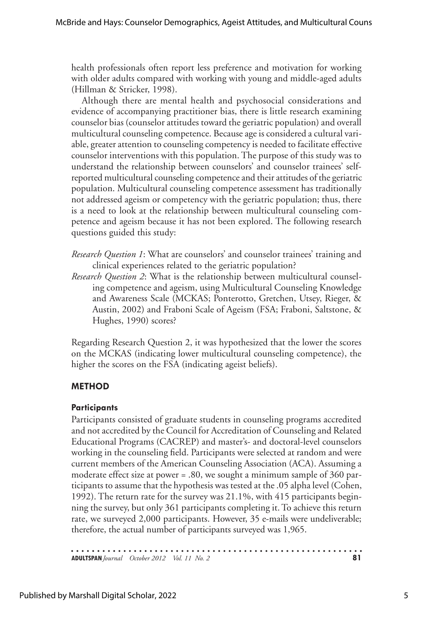health professionals often report less preference and motivation for working with older adults compared with working with young and middle-aged adults (Hillman & Stricker, 1998).

Although there are mental health and psychosocial considerations and evidence of accompanying practitioner bias, there is little research examining counselor bias (counselor attitudes toward the geriatric population) and overall multicultural counseling competence. Because age is considered a cultural variable, greater attention to counseling competency is needed to facilitate effective counselor interventions with this population. The purpose of this study was to understand the relationship between counselors' and counselor trainees' selfreported multicultural counseling competence and their attitudes of the geriatric population. Multicultural counseling competence assessment has traditionally not addressed ageism or competency with the geriatric population; thus, there is a need to look at the relationship between multicultural counseling competence and ageism because it has not been explored. The following research questions guided this study:

*Research Question 1*: What are counselors' and counselor trainees' training and clinical experiences related to the geriatric population?

*Research Question 2*: What is the relationship between multicultural counseling competence and ageism, using Multicultural Counseling Knowledge and Awareness Scale (MCKAS; Ponterotto, Gretchen, Utsey, Rieger, & Austin, 2002) and Fraboni Scale of Ageism (FSA; Fraboni, Saltstone, & Hughes, 1990) scores?

Regarding Research Question 2, it was hypothesized that the lower the scores on the MCKAS (indicating lower multicultural counseling competence), the higher the scores on the FSA (indicating ageist beliefs).

# **Method**

## **Participants**

Participants consisted of graduate students in counseling programs accredited and not accredited by the Council for Accreditation of Counseling and Related Educational Programs (CACREP) and master's- and doctoral-level counselors working in the counseling field. Participants were selected at random and were current members of the American Counseling Association (ACA). Assuming a moderate effect size at power = .80, we sought a minimum sample of 360 participants to assume that the hypothesis was tested at the .05 alpha level (Cohen, 1992). The return rate for the survey was 21.1%, with 415 participants beginning the survey, but only 361 participants completing it. To achieve this return rate, we surveyed 2,000 participants. However, 35 e-mails were undeliverable; therefore, the actual number of participants surveyed was 1,965.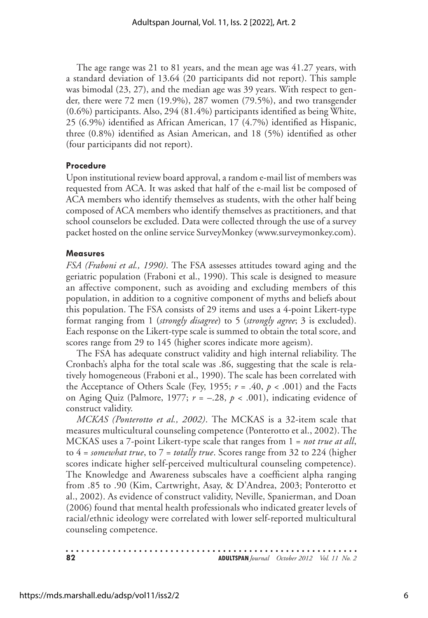The age range was 21 to 81 years, and the mean age was 41.27 years, with a standard deviation of 13.64 (20 participants did not report). This sample was bimodal (23, 27), and the median age was 39 years. With respect to gender, there were 72 men (19.9%), 287 women (79.5%), and two transgender (0.6%) participants. Also, 294 (81.4%) participants identified as being White, 25 (6.9%) identified as African American, 17 (4.7%) identified as Hispanic, three (0.8%) identified as Asian American, and 18 (5%) identified as other (four participants did not report).

### **Procedure**

Upon institutional review board approval, a random e-mail list of members was requested from ACA. It was asked that half of the e-mail list be composed of ACA members who identify themselves as students, with the other half being composed of ACA members who identify themselves as practitioners, and that school counselors be excluded. Data were collected through the use of a survey packet hosted on the online service SurveyMonkey (www.surveymonkey.com).

#### **Measures**

*FSA (Fraboni et al., 1990)*. The FSA assesses attitudes toward aging and the geriatric population (Fraboni et al., 1990). This scale is designed to measure an affective component, such as avoiding and excluding members of this population, in addition to a cognitive component of myths and beliefs about this population. The FSA consists of 29 items and uses a 4-point Likert-type format ranging from 1 (*strongly disagree*) to 5 (*strongly agree*; 3 is excluded). Each response on the Likert-type scale is summed to obtain the total score, and scores range from 29 to 145 (higher scores indicate more ageism).

The FSA has adequate construct validity and high internal reliability. The Cronbach's alpha for the total scale was .86, suggesting that the scale is relatively homogeneous (Fraboni et al., 1990). The scale has been correlated with the Acceptance of Others Scale (Fey, 1955;  $r = .40$ ,  $p < .001$ ) and the Facts on Aging Quiz (Palmore, 1977;  $r = -.28$ ,  $p < .001$ ), indicating evidence of construct validity.

*MCKAS (Ponterotto et al., 2002)*. The MCKAS is a 32-item scale that measures multicultural counseling competence (Ponterotto et al., 2002). The MCKAS uses a 7-point Likert-type scale that ranges from 1 = *not true at all*, to 4 = *somewhat true*, to 7 = *totally true*. Scores range from 32 to 224 (higher scores indicate higher self-perceived multicultural counseling competence). The Knowledge and Awareness subscales have a coefficient alpha ranging from .85 to .90 (Kim, Cartwright, Asay, & D'Andrea, 2003; Ponterotto et al., 2002). As evidence of construct validity, Neville, Spanierman, and Doan (2006) found that mental health professionals who indicated greater levels of racial/ethnic ideology were correlated with lower self-reported multicultural counseling competence.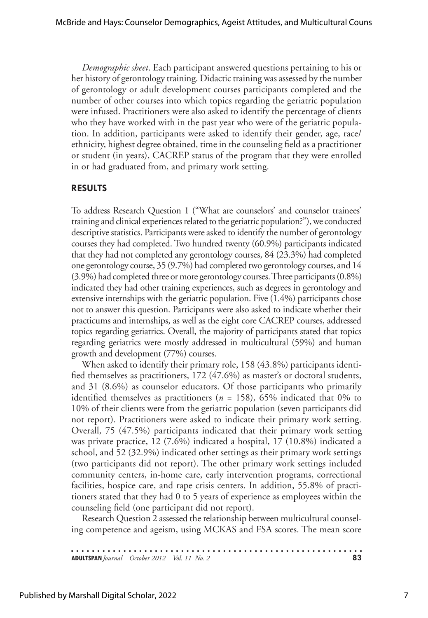*Demographic sheet*. Each participant answered questions pertaining to his or her history of gerontology training. Didactic training was assessed by the number of gerontology or adult development courses participants completed and the number of other courses into which topics regarding the geriatric population were infused. Practitioners were also asked to identify the percentage of clients who they have worked with in the past year who were of the geriatric population. In addition, participants were asked to identify their gender, age, race/ ethnicity, highest degree obtained, time in the counseling field as a practitioner or student (in years), CACREP status of the program that they were enrolled in or had graduated from, and primary work setting.

# **Results**

To address Research Question 1 ("What are counselors' and counselor trainees' training and clinical experiences related to the geriatric population?"), we conducted descriptive statistics. Participants were asked to identify the number of gerontology courses they had completed. Two hundred twenty (60.9%) participants indicated that they had not completed any gerontology courses, 84 (23.3%) had completed one gerontology course, 35 (9.7%) had completed two gerontology courses, and 14 (3.9%) had completed three or more gerontology courses. Three participants (0.8%) indicated they had other training experiences, such as degrees in gerontology and extensive internships with the geriatric population. Five (1.4%) participants chose not to answer this question. Participants were also asked to indicate whether their practicums and internships, as well as the eight core CACREP courses, addressed topics regarding geriatrics. Overall, the majority of participants stated that topics regarding geriatrics were mostly addressed in multicultural (59%) and human growth and development (77%) courses.

When asked to identify their primary role, 158 (43.8%) participants identified themselves as practitioners, 172 (47.6%) as master's or doctoral students, and 31 (8.6%) as counselor educators. Of those participants who primarily identified themselves as practitioners (*n* = 158), 65% indicated that 0% to 10% of their clients were from the geriatric population (seven participants did not report). Practitioners were asked to indicate their primary work setting. Overall, 75 (47.5%) participants indicated that their primary work setting was private practice, 12 (7.6%) indicated a hospital, 17 (10.8%) indicated a school, and 52 (32.9%) indicated other settings as their primary work settings (two participants did not report). The other primary work settings included community centers, in-home care, early intervention programs, correctional facilities, hospice care, and rape crisis centers. In addition, 55.8% of practitioners stated that they had 0 to 5 years of experience as employees within the counseling field (one participant did not report).

Research Question 2 assessed the relationship between multicultural counseling competence and ageism, using MCKAS and FSA scores. The mean score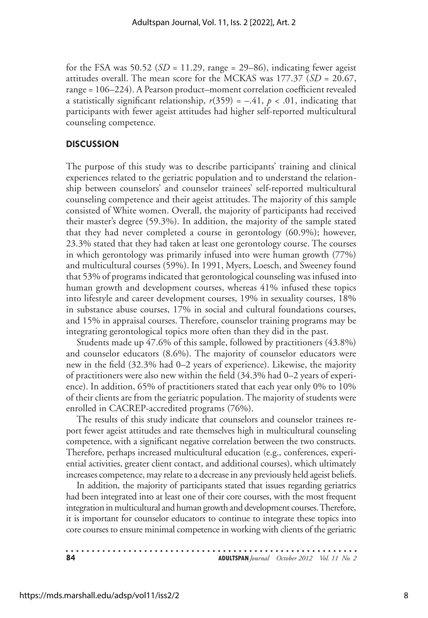for the FSA was 50.52 ( $SD = 11.29$ , range = 29–86), indicating fewer ageist attitudes overall. The mean score for the MCKAS was 177.37 (*SD* = 20.67, range = 106–224). A Pearson product–moment correlation coefficient revealed a statistically significant relationship,  $r(359) = -.41$ ,  $p < .01$ , indicating that participants with fewer ageist attitudes had higher self-reported multicultural counseling competence.

#### **Discussion**

The purpose of this study was to describe participants' training and clinical experiences related to the geriatric population and to understand the relationship between counselors' and counselor trainees' self-reported multicultural counseling competence and their ageist attitudes. The majority of this sample consisted of White women. Overall, the majority of participants had received their master's degree (59.3%). In addition, the majority of the sample stated that they had never completed a course in gerontology (60.9%); however, 23.3% stated that they had taken at least one gerontology course. The courses in which gerontology was primarily infused into were human growth (77%) and multicultural courses (59%). In 1991, Myers, Loesch, and Sweeney found that 53% of programs indicated that gerontological counseling was infused into human growth and development courses, whereas 41% infused these topics into lifestyle and career development courses, 19% in sexuality courses, 18% in substance abuse courses, 17% in social and cultural foundations courses, and 15% in appraisal courses. Therefore, counselor training programs may be integrating gerontological topics more often than they did in the past.

Students made up 47.6% of this sample, followed by practitioners (43.8%) and counselor educators (8.6%). The majority of counselor educators were new in the field (32.3% had 0–2 years of experience). Likewise, the majority of practitioners were also new within the field (34.3% had 0–2 years of experience). In addition, 65% of practitioners stated that each year only 0% to 10% of their clients are from the geriatric population. The majority of students were enrolled in CACREP-accredited programs (76%).

The results of this study indicate that counselors and counselor trainees report fewer ageist attitudes and rate themselves high in multicultural counseling competence, with a significant negative correlation between the two constructs. Therefore, perhaps increased multicultural education (e.g., conferences, experiential activities, greater client contact, and additional courses), which ultimately increases competence, may relate to a decrease in any previously held ageist beliefs.

In addition, the majority of participants stated that issues regarding geriatrics had been integrated into at least one of their core courses, with the most frequent integration in multicultural and human growth and development courses. Therefore, it is important for counselor educators to continue to integrate these topics into core courses to ensure minimal competence in working with clients of the geriatric

| -84 | <b>ADULTSPAN</b> Journal October 2012 Vol. 11 No. 2 |  |
|-----|-----------------------------------------------------|--|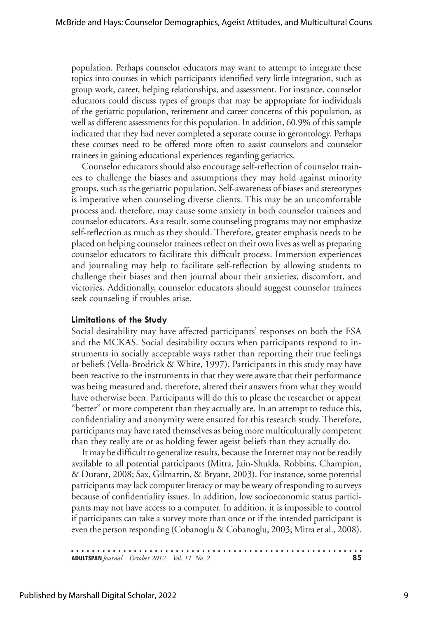population. Perhaps counselor educators may want to attempt to integrate these topics into courses in which participants identified very little integration, such as group work, career, helping relationships, and assessment. For instance, counselor educators could discuss types of groups that may be appropriate for individuals of the geriatric population, retirement and career concerns of this population, as well as different assessments for this population. In addition, 60.9% of this sample indicated that they had never completed a separate course in gerontology. Perhaps these courses need to be offered more often to assist counselors and counselor trainees in gaining educational experiences regarding geriatrics.

Counselor educators should also encourage self-reflection of counselor trainees to challenge the biases and assumptions they may hold against minority groups, such as the geriatric population. Self-awareness of biases and stereotypes is imperative when counseling diverse clients. This may be an uncomfortable process and, therefore, may cause some anxiety in both counselor trainees and counselor educators. As a result, some counseling programs may not emphasize self-reflection as much as they should. Therefore, greater emphasis needs to be placed on helping counselor trainees reflect on their own lives as well as preparing counselor educators to facilitate this difficult process. Immersion experiences and journaling may help to facilitate self-reflection by allowing students to challenge their biases and then journal about their anxieties, discomfort, and victories. Additionally, counselor educators should suggest counselor trainees seek counseling if troubles arise.

### **Limitations of the Study**

Social desirability may have affected participants' responses on both the FSA and the MCKAS. Social desirability occurs when participants respond to instruments in socially acceptable ways rather than reporting their true feelings or beliefs (Vella-Brodrick & White, 1997). Participants in this study may have been reactive to the instruments in that they were aware that their performance was being measured and, therefore, altered their answers from what they would have otherwise been. Participants will do this to please the researcher or appear "better" or more competent than they actually are. In an attempt to reduce this, confidentiality and anonymity were ensured for this research study. Therefore, participants may have rated themselves as being more multiculturally competent than they really are or as holding fewer ageist beliefs than they actually do.

It may be difficult to generalize results, because the Internet may not be readily available to all potential participants (Mitra, Jain-Shukla, Robbins, Champion, & Durant, 2008; Sax, Gilmartin, & Bryant, 2003). For instance, some potential participants may lack computer literacy or may be weary of responding to surveys because of confidentiality issues. In addition, low socioeconomic status participants may not have access to a computer. In addition, it is impossible to control if participants can take a survey more than once or if the intended participant is even the person responding (Cobanoglu & Cobanoglu, 2003; Mitra et al., 2008).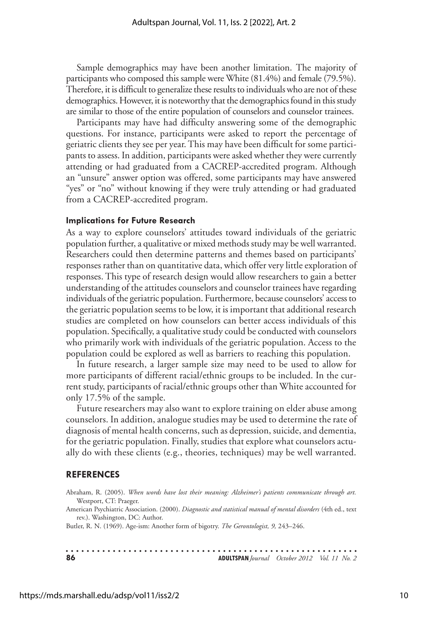Sample demographics may have been another limitation. The majority of participants who composed this sample were White (81.4%) and female (79.5%). Therefore, it is difficult to generalize these results to individuals who are not of these demographics. However, it is noteworthy that the demographics found in this study are similar to those of the entire population of counselors and counselor trainees.

Participants may have had difficulty answering some of the demographic questions. For instance, participants were asked to report the percentage of geriatric clients they see per year. This may have been difficult for some participants to assess. In addition, participants were asked whether they were currently attending or had graduated from a CACREP-accredited program. Although an "unsure" answer option was offered, some participants may have answered "yes" or "no" without knowing if they were truly attending or had graduated from a CACREP-accredited program.

#### **Implications for Future Research**

As a way to explore counselors' attitudes toward individuals of the geriatric population further, a qualitative or mixed methods study may be well warranted. Researchers could then determine patterns and themes based on participants' responses rather than on quantitative data, which offer very little exploration of responses. This type of research design would allow researchers to gain a better understanding of the attitudes counselors and counselor trainees have regarding individuals of the geriatric population. Furthermore, because counselors' access to the geriatric population seems to be low, it is important that additional research studies are completed on how counselors can better access individuals of this population. Specifically, a qualitative study could be conducted with counselors who primarily work with individuals of the geriatric population. Access to the population could be explored as well as barriers to reaching this population.

In future research, a larger sample size may need to be used to allow for more participants of different racial/ethnic groups to be included. In the current study, participants of racial/ethnic groups other than White accounted for only 17.5% of the sample.

Future researchers may also want to explore training on elder abuse among counselors. In addition, analogue studies may be used to determine the rate of diagnosis of mental health concerns, such as depression, suicide, and dementia, for the geriatric population. Finally, studies that explore what counselors actually do with these clients (e.g., theories, techniques) may be well warranted.

### **References**

Abraham, R. (2005). *When words have lost their meaning: Alzheimer's patients communicate through art.* Westport, CT: Praeger.

. . . . . . . . . . . . . **86 ADULTSPAN***Journal October 2012 Vol. 11 No. 2*

American Psychiatric Association. (2000). *Diagnostic and statistical manual of mental disorders* (4th ed., text rev.). Washington, DC: Author.

Butler, R. N. (1969). Age-ism: Another form of bigotry. *The Gerontologist, 9,* 243–246.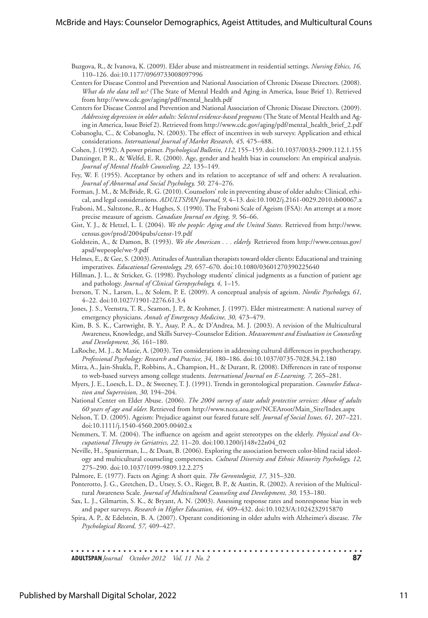- Buzgova, R., & Ivanova, K. (2009). Elder abuse and mistreatment in residential settings. *Nursing Ethics, 16,* 110–126. doi:10.1177/0969733008097996
- Centers for Disease Control and Prevention and National Association of Chronic Disease Directors. (2008). *What do the data tell us?* (The State of Mental Health and Aging in America, Issue Brief 1). Retrieved from http://www.cdc.gov/aging/pdf/mental\_health.pdf
- Centers for Disease Control and Prevention and National Association of Chronic Disease Directors. (2009). *Addressing depression in older adults: Selected evidence-based programs* (The State of Mental Health and Aging in America, Issue Brief 2). Retrieved from http://www.cdc.gov/aging/pdf/mental\_health\_brief\_2.pdf
- Cobanoglu, C., & Cobanoglu, N. (2003). The effect of incentives in web surveys: Application and ethical considerations. *International Journal of Market Research, 45,* 475–488.
- Cohen, J. (1992). A power primer. *Psychological Bulletin, 112,* 155–159. doi:10.1037/0033-2909.112.1.155
- Danzinger, P. R., & Welfel, E. R. (2000). Age, gender and health bias in counselors: An empirical analysis. *Journal of Mental Health Counseling, 22,* 135–149.
- Fey, W. F. (1955). Acceptance by others and its relation to acceptance of self and others: A revaluation. *Journal of Abnormal and Social Psychology, 50,* 274–276.
- Forman, J. M., & McBride, R. G. (2010). Counselors' role in preventing abuse of older adults: Clinical, ethical, and legal considerations. *ADULTSPAN Journal, 9,* 4–13. doi:10.1002/j.2161-0029.2010.tb00067.x
- Fraboni, M., Saltstone, R., & Hughes, S. (1990). The Fraboni Scale of Ageism (FSA): An attempt at a more precise measure of ageism. *Canadian Journal on Aging, 9,* 56–66.
- Gist, Y. J., & Hetzel, L. I. (2004). *We the people: Aging and the United States.* Retrieved from http://www. census.gov/prod/2004pubs/censr-19.pdf
- Goldstein, A., & Damon, B. (1993). *We the American . . . elderly.* Retrieved from http://www.census.gov/ apsd/wepeople/we-9.pdf
- Helmes, E., & Gee, S. (2003). Attitudes of Australian therapists toward older clients: Educational and training imperatives. *Educational Gerontology, 29,* 657–670. doi:10.1080/03601270390225640
- Hillman, J. L., & Stricker, G. (1998). Psychology students' clinical judgments as a function of patient age and pathology. *Journal of Clinical Geropsychology, 4,* 1–15.
- Iverson, T. N., Larsen, L., & Solem, P. E. (2009). A conceptual analysis of ageism. *Nordic Psychology, 61,*  4–22. doi:10.1027/1901-2276.61.3.4
- Jones, J. S., Veenstra, T. R., Seamon, J. P., & Krohmer, J. (1997). Elder mistreatment: A national survey of emergency physicians. *Annals of Emergency Medicine, 30,* 473–479.
- Kim, B. S. K., Cartwright, B. Y., Asay, P. A., & D'Andrea, M. J. (2003). A revision of the Multicultural Awareness, Knowledge, and Skills Survey–Counselor Edition. *Measurement and Evaluation in Counseling and Development, 36,* 161–180.
- LaRoche, M. J., & Maxie, A. (2003). Ten considerations in addressing cultural differences in psychotherapy. *Professional Psychology: Research and Practice, 34,* 180–186. doi:10.1037/0735-7028.34.2.180
- Mitra, A., Jain-Shukla, P., Robbins, A., Champion, H., & Durant, R. (2008). Differences in rate of response to web-based surveys among college students. *International Journal on E-Learning, 7,* 265–281.
- Myers, J. E., Loesch, L. D., & Sweeney, T. J. (1991). Trends in gerontological preparation. *Counselor Education and Supervision, 30,* 194–204.
- National Center on Elder Abuse. (2006). *The 2004 survey of state adult protective services: Abuse of adults 60 years of age and older.* Retrieved from http://www.ncea.aoa.gov/NCEAroot/Main\_Site/Index.aspx
- Nelson, T. D. (2005). Ageism: Prejudice against our feared future self. *Journal of Social Issues, 61,* 207–221. doi:10.1111/j.1540-4560.2005.00402.x
- Nemmers, T. M. (2004). The influence on ageism and ageist stereotypes on the elderly. *Physical and Occupational Therapy in Geriatrics, 22,* 11–20. doi:100.1200/j148v22n04\_02
- Neville, H., Spanierman, L., & Doan, B. (2006). Exploring the association between color-blind racial ideology and multicultural counseling competencies. *Cultural Diversity and Ethnic Minority Psychology, 12,*  275–290. doi:10.1037/1099-9809.12.2.275

Palmore, E. (1977). Facts on Aging: A short quiz. *The Gerontologist, 17,* 315–320.

- Ponterotto, J. G., Gretchen, D., Utsey, S. O., Rieger, B. P., & Austin, R. (2002). A revision of the Multicultural Awareness Scale. *Journal of Multicultural Counseling and Development, 30,* 153–180.
- Sax, L. J., Gilmartin, S. K., & Bryant, A. N. (2003). Assessing response rates and nonresponse bias in web and paper surveys. *Research in Higher Education, 44,* 409–432. doi:10.1023/A:1024232915870
- Spira, A. P., & Edelstein, B. A. (2007). Operant conditioning in older adults with Alzheimer's disease. *The Psychological Record, 57,* 409–427.